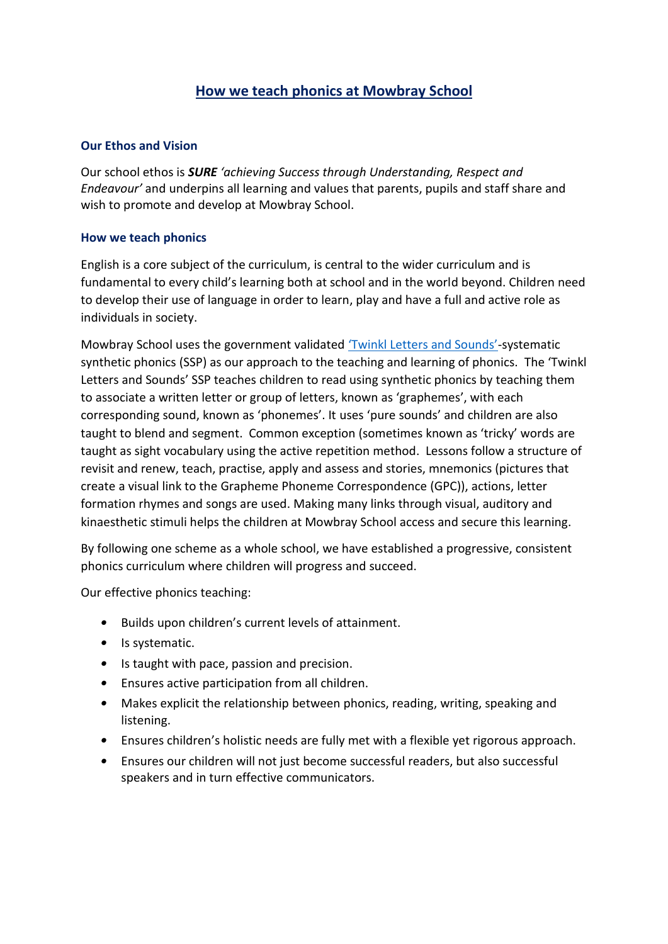# **How we teach phonics at Mowbray School**

## **Our Ethos and Vision**

Our school ethos is *SURE 'achieving Success through Understanding, Respect and Endeavour'* and underpins all learning and values that parents, pupils and staff share and wish to promote and develop at Mowbray School.

#### **How we teach phonics**

English is a core subject of the curriculum, is central to the wider curriculum and is fundamental to every child's learning both at school and in the world beyond. Children need to develop their use of language in order to learn, play and have a full and active role as individuals in society.

Mowbray School uses the government validated ['Twinkl Letters and Sounds'](https://www.twinkl.co.uk/teaching-wiki/letters-and-sounds)-systematic synthetic phonics (SSP) as our approach to the teaching and learning of phonics. The 'Twinkl Letters and Sounds' SSP teaches children to read using synthetic phonics by teaching them to associate a written letter or group of letters, known as 'graphemes', with each corresponding sound, known as 'phonemes'. It uses 'pure sounds' and children are also taught to blend and segment. Common exception (sometimes known as 'tricky' words are taught as sight vocabulary using the active repetition method. Lessons follow a structure of revisit and renew, teach, practise, apply and assess and stories, mnemonics (pictures that create a visual link to the Grapheme Phoneme Correspondence (GPC)), actions, letter formation rhymes and songs are used. Making many links through visual, auditory and kinaesthetic stimuli helps the children at Mowbray School access and secure this learning.

By following one scheme as a whole school, we have established a progressive, consistent phonics curriculum where children will progress and succeed.

Our effective phonics teaching:

- Builds upon children's current levels of attainment.
- Is systematic.
- Is taught with pace, passion and precision.
- Ensures active participation from all children.
- Makes explicit the relationship between phonics, reading, writing, speaking and listening.
- Ensures children's holistic needs are fully met with a flexible yet rigorous approach.
- Ensures our children will not just become successful readers, but also successful speakers and in turn effective communicators.